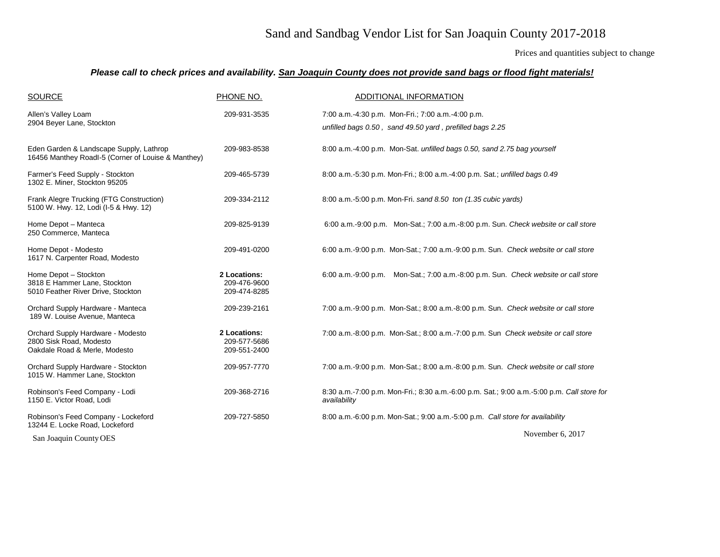## Sand and Sandbag Vendor List for San Joaquin County 2017-2018

Prices and quantities subject to change

## *Please call to check prices and availability. San Joaquin County does not provide sand bags or flood fight materials!*

| <b>SOURCE</b>                                                                                 | PHONE NO.                                    | ADDITIONAL INFORMATION                                                                                        |
|-----------------------------------------------------------------------------------------------|----------------------------------------------|---------------------------------------------------------------------------------------------------------------|
| Allen's Valley Loam<br>2904 Beyer Lane, Stockton                                              | 209-931-3535                                 | 7:00 a.m.-4:30 p.m. Mon-Fri.; 7:00 a.m.-4:00 p.m.<br>unfilled bags 0.50, sand 49.50 yard, prefilled bags 2.25 |
| Eden Garden & Landscape Supply, Lathrop<br>16456 Manthey Roadl-5 (Corner of Louise & Manthey) | 209-983-8538                                 | 8:00 a.m.-4:00 p.m. Mon-Sat. unfilled bags 0.50, sand 2.75 bag yourself                                       |
| Farmer's Feed Supply - Stockton<br>1302 E. Miner, Stockton 95205                              | 209-465-5739                                 | 8:00 a.m.-5:30 p.m. Mon-Fri.; 8:00 a.m.-4:00 p.m. Sat.; unfilled bags 0.49                                    |
| Frank Alegre Trucking (FTG Construction)<br>5100 W. Hwy. 12, Lodi (I-5 & Hwy. 12)             | 209-334-2112                                 | 8:00 a.m.-5:00 p.m. Mon-Fri. sand 8.50 ton (1.35 cubic yards)                                                 |
| Home Depot - Manteca<br>250 Commerce, Manteca                                                 | 209-825-9139                                 | 6:00 a.m.-9:00 p.m. Mon-Sat.; 7:00 a.m.-8:00 p.m. Sun. Check website or call store                            |
| Home Depot - Modesto<br>1617 N. Carpenter Road, Modesto                                       | 209-491-0200                                 | 6:00 a.m.-9:00 p.m. Mon-Sat.; 7:00 a.m.-9:00 p.m. Sun. Check website or call store                            |
| Home Depot - Stockton<br>3818 E Hammer Lane, Stockton<br>5010 Feather River Drive, Stockton   | 2 Locations:<br>209-476-9600<br>209-474-8285 | 6:00 a.m.-9:00 p.m. Mon-Sat.; 7:00 a.m.-8:00 p.m. Sun. Check website or call store                            |
| Orchard Supply Hardware - Manteca<br>189 W. Louise Avenue, Manteca                            | 209-239-2161                                 | 7:00 a.m.-9:00 p.m. Mon-Sat.; 8:00 a.m.-8:00 p.m. Sun. Check website or call store                            |
| Orchard Supply Hardware - Modesto<br>2800 Sisk Road, Modesto<br>Oakdale Road & Merle, Modesto | 2 Locations:<br>209-577-5686<br>209-551-2400 | 7:00 a.m.-8:00 p.m. Mon-Sat.; 8:00 a.m.-7:00 p.m. Sun Check website or call store                             |
| Orchard Supply Hardware - Stockton<br>1015 W. Hammer Lane, Stockton                           | 209-957-7770                                 | 7:00 a.m.-9:00 p.m. Mon-Sat.; 8:00 a.m.-8:00 p.m. Sun. Check website or call store                            |
| Robinson's Feed Company - Lodi<br>1150 E. Victor Road, Lodi                                   | 209-368-2716                                 | 8:30 a.m.-7:00 p.m. Mon-Fri.; 8:30 a.m.-6:00 p.m. Sat.; 9:00 a.m.-5:00 p.m. Call store for<br>availability    |
| Robinson's Feed Company - Lockeford<br>13244 E. Locke Road, Lockeford                         | 209-727-5850                                 | 8:00 a.m.-6:00 p.m. Mon-Sat.; 9:00 a.m.-5:00 p.m. Call store for availability                                 |
| San Joaquin County OES                                                                        |                                              | November 6, 2017                                                                                              |